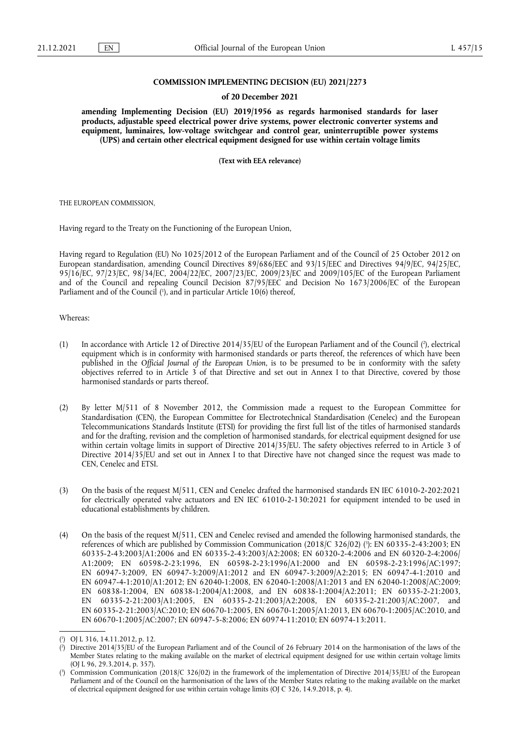### **COMMISSION IMPLEMENTING DECISION (EU) 2021/2273**

#### **of 20 December 2021**

**amending Implementing Decision (EU) 2019/1956 as regards harmonised standards for laser products, adjustable speed electrical power drive systems, power electronic converter systems and equipment, luminaires, low-voltage switchgear and control gear, uninterruptible power systems (UPS) and certain other electrical equipment designed for use within certain voltage limits** 

**(Text with EEA relevance)** 

THE EUROPEAN COMMISSION,

Having regard to the Treaty on the Functioning of the European Union,

Having regard to Regulation (EU) No 1025/2012 of the European Parliament and of the Council of 25 October 2012 on European standardisation, amending Council Directives 89/686/EEC and 93/15/EEC and Directives 94/9/EC, 94/25/EC, 95/16/EC, 97/23/EC, 98/34/EC, 2004/22/EC, 2007/23/EC, 2009/23/EC and 2009/105/EC of the European Parliament and of the Council and repealing Council Decision 87/95/EEC and Decision No 1673/2006/EC of the European Parliament and of the Council [\(](#page-0-0)1), and in particular Article 10(6) thereof,

<span id="page-0-3"></span>Whereas:

- <span id="page-0-4"></span>[\(](#page-0-1)1) In accordance with Article 12 of Directive 2014/35/EU of the European Parliament and of the Council  $(?)$ , electrical equipment which is in conformity with harmonised standards or parts thereof, the references of which have been published in the *Official Journal of the European Union*, is to be presumed to be in conformity with the safety objectives referred to in Article 3 of that Directive and set out in Annex I to that Directive, covered by those harmonised standards or parts thereof.
- (2) By letter M/511 of 8 November 2012, the Commission made a request to the European Committee for Standardisation (CEN), the European Committee for Electrotechnical Standardisation (Cenelec) and the European Telecommunications Standards Institute (ETSI) for providing the first full list of the titles of harmonised standards and for the drafting, revision and the completion of harmonised standards, for electrical equipment designed for use within certain voltage limits in support of Directive 2014/35/EU. The safety objectives referred to in Article 3 of Directive 2014/35/EU and set out in Annex I to that Directive have not changed since the request was made to CEN, Cenelec and ETSI.
- (3) On the basis of the request M/511, CEN and Cenelec drafted the harmonised standards EN IEC 61010-2-202:2021 for electrically operated valve actuators and EN IEC 61010-2-130:2021 for equipment intended to be used in educational establishments by children.
- <span id="page-0-5"></span>(4) On the basis of the request M/511, CEN and Cenelec revised and amended the following harmonised standards, the references of which are published by Commission Communication (2018/C 326/02) (3[\):](#page-0-2) EN 60335-2-43:2003; EN 60335-2-43:2003/A1:2006 and EN 60335-2-43:2003/A2:2008; EN 60320-2-4:2006 and EN 60320-2-4:2006/ A1:2009; EN 60598-2-23:1996, EN 60598-2-23:1996/A1:2000 and EN 60598-2-23:1996/AC:1997; EN 60947-3:2009, EN 60947-3:2009/A1:2012 and EN 60947-3:2009/A2:2015; EN 60947-4-1:2010 and EN 60947-4-1:2010/A1:2012; EN 62040-1:2008, EN 62040-1:2008/A1:2013 and EN 62040-1:2008/AC:2009; EN 60838-1:2004, EN 60838-1:2004/A1:2008, and EN 60838-1:2004/A2:2011; EN 60335-2-21:2003, EN 60335-2-21:2003/A1:2005, EN 60335-2-21:2003/A2:2008, EN 60335-2-21:2003/AC:2007, and EN 60335-2-21:2003/AC:2010; EN 60670-1:2005, EN 60670-1:2005/A1:2013, EN 60670-1:2005/AC:2010, and EN 60670-1:2005/AC:2007; EN 60947-5-8:2006; EN 60974-11:2010; EN 60974-13:2011.

<span id="page-0-0"></span>[<sup>\(</sup>](#page-0-3) 1 ) OJ L 316, 14.11.2012, p. 12.

<span id="page-0-1"></span>[<sup>\(</sup>](#page-0-4) 2 ) Directive 2014/35/EU of the European Parliament and of the Council of 26 February 2014 on the harmonisation of the laws of the Member States relating to the making available on the market of electrical equipment designed for use within certain voltage limits (OJ L 96, 29.3.2014, p. 357).

<span id="page-0-2"></span>[<sup>\(</sup>](#page-0-5) 3 ) Commission Communication (2018/C 326/02) in the framework of the implementation of Directive 2014/35/EU of the European Parliament and of the Council on the harmonisation of the laws of the Member States relating to the making available on the market of electrical equipment designed for use within certain voltage limits (OJ C 326, 14.9.2018, p. 4).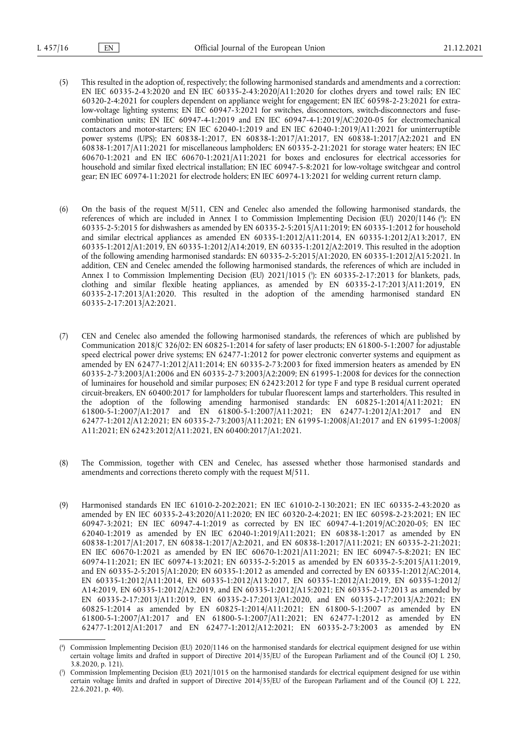- (5) This resulted in the adoption of, respectively; the following harmonised standards and amendments and a correction: EN IEC 60335-2-43:2020 and EN IEC 60335-2-43:2020/A11:2020 for clothes dryers and towel rails; EN IEC 60320-2-4:2021 for couplers dependent on appliance weight for engagement; EN IEC 60598-2-23:2021 for extralow-voltage lighting systems; EN IEC 60947-3:2021 for switches, disconnectors, switch-disconnectors and fusecombination units; EN IEC 60947-4-1:2019 and EN IEC 60947-4-1:2019/AC:2020-05 for electromechanical contactors and motor-starters; EN IEC 62040-1:2019 and EN IEC 62040-1:2019/A11:2021 for uninterruptible power systems (UPS); EN 60838-1:2017, EN 60838-1:2017/A1:2017, EN 60838-1:2017/A2:2021 and EN 60838-1:2017/A11:2021 for miscellaneous lampholders; EN 60335-2-21:2021 for storage water heaters; EN IEC 60670-1:2021 and EN IEC 60670-1:2021/A11:2021 for boxes and enclosures for electrical accessories for household and similar fixed electrical installation; EN IEC 60947-5-8:2021 for low-voltage switchgear and control gear; EN IEC 60974-11:2021 for electrode holders; EN IEC 60974-13:2021 for welding current return clamp.
- <span id="page-1-3"></span><span id="page-1-2"></span>(6) On the basis of the request M/511, CEN and Cenelec also amended the following harmonised standards, the references of which are included in Annex I to Commission Implementing Decision (EU) 2020/1146 ( 4 [\):](#page-1-0) EN 60335-2-5:2015 for dishwashers as amended by EN 60335-2-5:2015/A11:2019; EN 60335-1:2012 for household and similar electrical appliances as amended EN 60335-1:2012/A11:2014, EN 60335-1:2012/A13:2017, EN 60335-1:2012/A1:2019, EN 60335-1:2012/A14:2019, EN 60335-1:2012/A2:2019. This resulted in the adoption of the following amending harmonised standards: EN 60335-2-5:2015/A1:2020, EN 60335-1:2012/A15:2021. In addition, CEN and Cenelec amended the following harmonised standards, the references of which are included in Annex I to Commission Implementing Decision (EU) 2021/1015 ( 5 [\):](#page-1-1) EN 60335-2-17:2013 for blankets, pads, clothing and similar flexible heating appliances, as amended by EN 60335-2-17:2013/A11:2019, EN 60335-2-17:2013/A1:2020. This resulted in the adoption of the amending harmonised standard EN 60335-2-17:2013/A2:2021.
- (7) CEN and Cenelec also amended the following harmonised standards, the references of which are published by Communication 2018/C 326/02: EN 60825-1:2014 for safety of laser products; EN 61800-5-1:2007 for adjustable speed electrical power drive systems; EN 62477-1:2012 for power electronic converter systems and equipment as amended by EN 62477-1:2012/A11:2014; EN 60335-2-73:2003 for fixed immersion heaters as amended by EN 60335-2-73:2003/A1:2006 and EN 60335-2-73:2003/A2:2009; EN 61995-1:2008 for devices for the connection of luminaires for household and similar purposes; EN 62423:2012 for type F and type B residual current operated circuit-breakers, EN 60400:2017 for lampholders for tubular fluorescent lamps and starterholders. This resulted in the adoption of the following amending harmonised standards: EN 60825-1:2014/A11:2021; EN 61800-5-1:2007/A1:2017 and EN 61800-5-1:2007/A11:2021; EN 62477-1:2012/A1:2017 and EN 62477-1:2012/A12:2021; EN 60335-2-73:2003/A11:2021; EN 61995-1:2008/A1:2017 and EN 61995-1:2008/ A11:2021; EN 62423:2012/A11:2021, EN 60400:2017/A1:2021.
- (8) The Commission, together with CEN and Cenelec, has assessed whether those harmonised standards and amendments and corrections thereto comply with the request M/511.
- (9) Harmonised standards EN IEC 61010-2-202:2021; EN IEC 61010-2-130:2021; EN IEC 60335-2-43:2020 as amended by EN IEC 60335-2-43:2020/A11:2020; EN IEC 60320-2-4:2021; EN IEC 60598-2-23:2021; EN IEC 60947-3:2021; EN IEC 60947-4-1:2019 as corrected by EN IEC 60947-4-1:2019/AC:2020-05; EN IEC 62040-1:2019 as amended by EN IEC 62040-1:2019/A11:2021; EN 60838-1:2017 as amended by EN 60838-1:2017/A1:2017, EN 60838-1:2017/A2:2021, and EN 60838-1:2017/A11:2021; EN 60335-2-21:2021; EN IEC 60670-1:2021 as amended by EN IEC 60670-1:2021/A11:2021; EN IEC 60947-5-8:2021; EN IEC 60974-11:2021; EN IEC 60974-13:2021; EN 60335-2-5:2015 as amended by EN 60335-2-5:2015/A11:2019, and EN 60335-2-5:2015/A1:2020; EN 60335-1:2012 as amended and corrected by EN 60335-1:2012/AC:2014, EN 60335-1:2012/A11:2014, EN 60335-1:2012/A13:2017, EN 60335-1:2012/A1:2019, EN 60335-1:2012/ A14:2019, EN 60335-1:2012/A2:2019, and EN 60335-1:2012/A15:2021; EN 60335-2-17:2013 as amended by EN 60335-2-17:2013/A11:2019, EN 60335-2-17:2013/A1:2020, and EN 60335-2-17:2013/A2:2021; EN 60825-1:2014 as amended by EN 60825-1:2014/A11:2021; EN 61800-5-1:2007 as amended by EN 61800-5-1:2007/A1:2017 and EN 61800-5-1:2007/A11:2021; EN 62477-1:2012 as amended by EN 62477-1:2012/A1:2017 and EN 62477-1:2012/A12:2021; EN 60335-2-73:2003 as amended by EN

<span id="page-1-0"></span>[<sup>\(</sup>](#page-1-2) 4 ) Commission Implementing Decision (EU) 2020/1146 on the harmonised standards for electrical equipment designed for use within certain voltage limits and drafted in support of Directive 2014/35/EU of the European Parliament and of the Council (OJ L 250, 3.8.2020, p. 121).

<span id="page-1-1"></span>[<sup>\(</sup>](#page-1-3) 5 ) Commission Implementing Decision (EU) 2021/1015 on the harmonised standards for electrical equipment designed for use within certain voltage limits and drafted in support of Directive 2014/35/EU of the European Parliament and of the Council (OJ L 222, 22.6.2021, p. 40).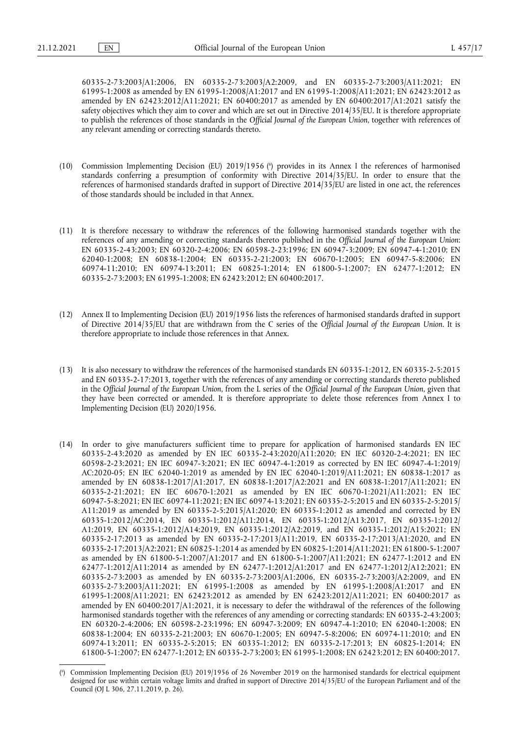60335-2-73:2003/A1:2006, EN 60335-2-73:2003/A2:2009, and EN 60335-2-73:2003/A11:2021; EN 61995-1:2008 as amended by EN 61995-1:2008/A1:2017 and EN 61995-1:2008/A11:2021; EN 62423:2012 as amended by EN 62423:2012/A11:2021; EN 60400:2017 as amended by EN 60400:2017/A1:2021 satisfy the safety objectives which they aim to cover and which are set out in Directive 2014/35/EU. It is therefore appropriate to publish the references of those standards in the *Official Journal of the European Union*, together with references of any relevant amending or correcting standards thereto.

- <span id="page-2-1"></span>(10) Commission Implementing Decision (EU) 2019/1956 [\(](#page-2-0) 6 ) provides in its Annex I the references of harmonised standards conferring a presumption of conformity with Directive 2014/35/EU. In order to ensure that the references of harmonised standards drafted in support of Directive 2014/35/EU are listed in one act, the references of those standards should be included in that Annex.
- (11) It is therefore necessary to withdraw the references of the following harmonised standards together with the references of any amending or correcting standards thereto published in the *Official Journal of the European Union*: EN 60335-2-43:2003; EN 60320-2-4:2006; EN 60598-2-23:1996; EN 60947-3:2009; EN 60947-4-1:2010; EN 62040-1:2008; EN 60838-1:2004; EN 60335-2-21:2003; EN 60670-1:2005; EN 60947-5-8:2006; EN 60974-11:2010; EN 60974-13:2011; EN 60825-1:2014; EN 61800-5-1:2007; EN 62477-1:2012; EN 60335-2-73:2003; EN 61995-1:2008; EN 62423:2012; EN 60400:2017.
- (12) Annex II to Implementing Decision (EU) 2019/1956 lists the references of harmonised standards drafted in support of Directive 2014/35/EU that are withdrawn from the C series of the *Official Journal of the European Union*. It is therefore appropriate to include those references in that Annex.
- (13) It is also necessary to withdraw the references of the harmonised standards EN 60335-1:2012, EN 60335-2-5:2015 and EN 60335-2-17:2013, together with the references of any amending or correcting standards thereto published in the *Official Journal of the European Union*, from the L series of the *Official Journal of the European Union*, given that they have been corrected or amended. It is therefore appropriate to delete those references from Annex I to Implementing Decision (EU) 2020/1956.
- (14) In order to give manufacturers sufficient time to prepare for application of harmonised standards EN IEC 60335-2-43:2020 as amended by EN IEC 60335-2-43:2020/A11:2020; EN IEC 60320-2-4:2021; EN IEC 60598-2-23:2021; EN IEC 60947-3:2021; EN IEC 60947-4-1:2019 as corrected by EN IEC 60947-4-1:2019/ AC:2020-05; EN IEC 62040-1:2019 as amended by EN IEC 62040-1:2019/A11:2021; EN 60838-1:2017 as amended by EN 60838-1:2017/A1:2017, EN 60838-1:2017/A2:2021 and EN 60838-1:2017/A11:2021; EN 60335-2-21:2021; EN IEC 60670-1:2021 as amended by EN IEC 60670-1:2021/A11:2021; EN IEC 60947-5-8:2021; EN IEC 60974-11:2021; EN IEC 60974-13:2021; EN 60335-2-5:2015 and EN 60335-2-5:2015/ A11:2019 as amended by EN 60335-2-5:2015/A1:2020; EN 60335-1:2012 as amended and corrected by EN 60335-1:2012/AC:2014, EN 60335-1:2012/A11:2014, EN 60335-1:2012/A13:2017, EN 60335-1:2012/ A1:2019, EN 60335-1:2012/A14:2019, EN 60335-1:2012/A2:2019, and EN 60335-1:2012/A15:2021; EN 60335-2-17:2013 as amended by EN 60335-2-17:2013/A11:2019, EN 60335-2-17:2013/A1:2020, and EN 60335-2-17:2013/A2:2021; EN 60825-1:2014 as amended by EN 60825-1:2014/A11:2021; EN 61800-5-1:2007 as amended by EN 61800-5-1:2007/A1:2017 and EN 61800-5-1:2007/A11:2021; EN 62477-1:2012 and EN 62477-1:2012/A11:2014 as amended by EN 62477-1:2012/A1:2017 and EN 62477-1:2012/A12:2021; EN 60335-2-73:2003 as amended by EN 60335-2-73:2003/A1:2006, EN 60335-2-73:2003/A2:2009, and EN 60335-2-73:2003/A11:2021; EN 61995-1:2008 as amended by EN 61995-1:2008/A1:2017 and EN 61995-1:2008/A11:2021; EN 62423:2012 as amended by EN 62423:2012/A11:2021; EN 60400:2017 as amended by EN 60400:2017/A1:2021, it is necessary to defer the withdrawal of the references of the following harmonised standards together with the references of any amending or correcting standards: EN 60335-2-43:2003; EN 60320-2-4:2006; EN 60598-2-23:1996; EN 60947-3:2009; EN 60947-4-1:2010; EN 62040-1:2008; EN 60838-1:2004; EN 60335-2-21:2003; EN 60670-1:2005; EN 60947-5-8:2006; EN 60974-11:2010; and EN 60974-13:2011; EN 60335-2-5:2015; EN 60335-1:2012; EN 60335-2-17:2013; EN 60825-1:2014; EN 61800-5-1:2007; EN 62477-1:2012; EN 60335-2-73:2003; EN 61995-1:2008; EN 62423:2012; EN 60400:2017.

<span id="page-2-0"></span>[<sup>\(</sup>](#page-2-1) 6 ) Commission Implementing Decision (EU) 2019/1956 of 26 November 2019 on the harmonised standards for electrical equipment designed for use within certain voltage limits and drafted in support of Directive 2014/35/EU of the European Parliament and of the Council (OJ L 306, 27.11.2019, p. 26).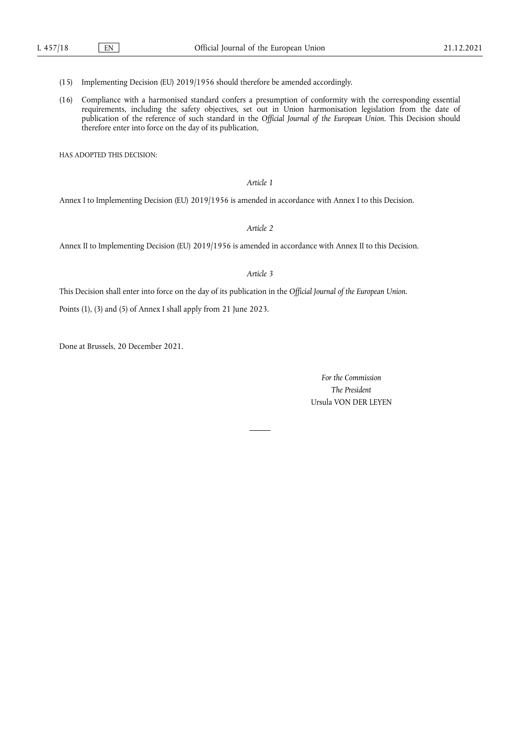- (15) Implementing Decision (EU) 2019/1956 should therefore be amended accordingly.
- (16) Compliance with a harmonised standard confers a presumption of conformity with the corresponding essential requirements, including the safety objectives, set out in Union harmonisation legislation from the date of publication of the reference of such standard in the *Official Journal of the European Union*. This Decision should therefore enter into force on the day of its publication,

HAS ADOPTED THIS DECISION:

## *Article 1*

Annex I to Implementing Decision (EU) 2019/1956 is amended in accordance with Annex I to this Decision.

*Article 2*

Annex II to Implementing Decision (EU) 2019/1956 is amended in accordance with Annex II to this Decision.

### *Article 3*

This Decision shall enter into force on the day of its publication in the *Official Journal of the European Union*.

Points (1), (3) and (5) of Annex I shall apply from 21 June 2023.

Done at Brussels, 20 December 2021.

*For the Commission The President* Ursula VON DER LEYEN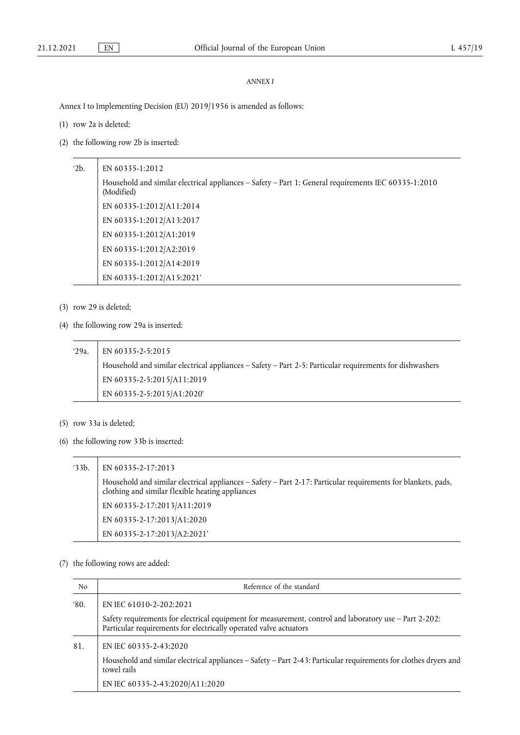### *ANNEX I*

Annex I to Implementing Decision (EU) 2019/1956 is amended as follows:

- (1) row 2a is deleted;
- (2) the following row 2b is inserted:

| '2b. | EN 60335-1:2012 |
|------|-----------------|
|------|-----------------|

Household and similar electrical appliances – Safety – Part 1: General requirements IEC 60335-1:2010 (Modified) EN 60335-1:2012/A11:2014 EN 60335-1:2012/A13:2017 EN 60335-1:2012/A1:2019 EN 60335-1:2012/A2:2019 EN 60335-1:2012/A14:2019 EN 60335-1:2012/A15:2021'

- (3) row 29 is deleted;
- (4) the following row 29a is inserted:

'29a. EN 60335-2-5:2015 Household and similar electrical appliances – Safety – Part 2-5: Particular requirements for dishwashers EN 60335-2-5:2015/A11:2019 EN 60335-2-5:2015/A1:2020'

- (5) row 33a is deleted;
- (6) the following row 33b is inserted:

| 33b. | EN 60335-2-17:2013                                                                                                                                                |
|------|-------------------------------------------------------------------------------------------------------------------------------------------------------------------|
|      | Household and similar electrical appliances - Safety - Part 2-17: Particular requirements for blankets, pads,<br>clothing and similar flexible heating appliances |
|      | EN 60335-2-17:2013/A11:2019                                                                                                                                       |
|      | EN 60335-2-17:2013/A1:2020                                                                                                                                        |
|      | EN 60335-2-17:2013/A2:2021'                                                                                                                                       |

(7) the following rows are added:

| No            | Reference of the standard                                                                                                                                                   |
|---------------|-----------------------------------------------------------------------------------------------------------------------------------------------------------------------------|
| $^{\circ}80.$ | EN IEC 61010-2-202:2021                                                                                                                                                     |
|               | Safety requirements for electrical equipment for measurement, control and laboratory use - Part 2-202:<br>Particular requirements for electrically operated valve actuators |
| 81.           | EN IEC 60335-2-43:2020                                                                                                                                                      |
|               | Household and similar electrical appliances – Safety – Part 2-43: Particular requirements for clothes dryers and<br>towel rails                                             |
|               | EN IEC 60335-2-43:2020/A11:2020                                                                                                                                             |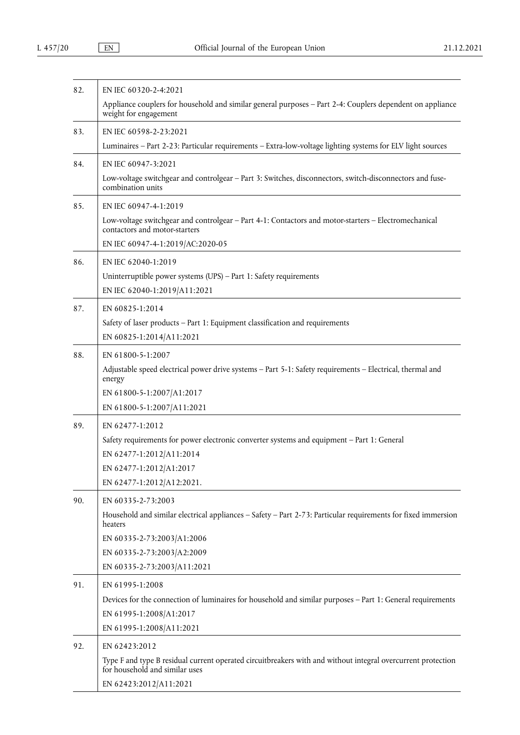| 82. | EN IEC 60320-2-4:2021                                                                                                                          |
|-----|------------------------------------------------------------------------------------------------------------------------------------------------|
|     | Appliance couplers for household and similar general purposes - Part 2-4: Couplers dependent on appliance<br>weight for engagement             |
| 83. | EN IEC 60598-2-23:2021                                                                                                                         |
|     | Luminaires - Part 2-23: Particular requirements - Extra-low-voltage lighting systems for ELV light sources                                     |
| 84. | EN IEC 60947-3:2021                                                                                                                            |
|     | Low-voltage switchgear and controlgear - Part 3: Switches, disconnectors, switch-disconnectors and fuse-<br>combination units                  |
| 85. | EN IEC 60947-4-1:2019                                                                                                                          |
|     | Low-voltage switchgear and controlgear - Part 4-1: Contactors and motor-starters - Electromechanical<br>contactors and motor-starters          |
|     | EN IEC 60947-4-1:2019/AC:2020-05                                                                                                               |
| 86. | EN IEC 62040-1:2019                                                                                                                            |
|     | Uninterruptible power systems (UPS) - Part 1: Safety requirements                                                                              |
|     | EN IEC 62040-1:2019/A11:2021                                                                                                                   |
| 87. | EN 60825-1:2014                                                                                                                                |
|     | Safety of laser products - Part 1: Equipment classification and requirements                                                                   |
|     | EN 60825-1:2014/A11:2021                                                                                                                       |
| 88. | EN 61800-5-1:2007                                                                                                                              |
|     | Adjustable speed electrical power drive systems - Part 5-1: Safety requirements - Electrical, thermal and<br>energy                            |
|     | EN 61800-5-1:2007/A1:2017                                                                                                                      |
|     | EN 61800-5-1:2007/A11:2021                                                                                                                     |
| 89. | EN 62477-1:2012                                                                                                                                |
|     | Safety requirements for power electronic converter systems and equipment - Part 1: General                                                     |
|     | EN 62477-1:2012/A11:2014                                                                                                                       |
|     | EN 62477-1:2012/A1:2017                                                                                                                        |
|     | EN 62477-1:2012/A12:2021.                                                                                                                      |
| 90. | EN 60335-2-73:2003                                                                                                                             |
|     | Household and similar electrical appliances - Safety - Part 2-73: Particular requirements for fixed immersion<br>heaters                       |
|     | EN 60335-2-73:2003/A1:2006                                                                                                                     |
|     | EN 60335-2-73:2003/A2:2009                                                                                                                     |
|     | EN 60335-2-73:2003/A11:2021                                                                                                                    |
| 91. | EN 61995-1:2008                                                                                                                                |
|     | Devices for the connection of luminaires for household and similar purposes - Part 1: General requirements                                     |
|     | EN 61995-1:2008/A1:2017                                                                                                                        |
|     | EN 61995-1:2008/A11:2021                                                                                                                       |
| 92. | EN 62423:2012                                                                                                                                  |
|     | Type F and type B residual current operated circuitbreakers with and without integral overcurrent protection<br>for household and similar uses |
|     | EN 62423:2012/A11:2021                                                                                                                         |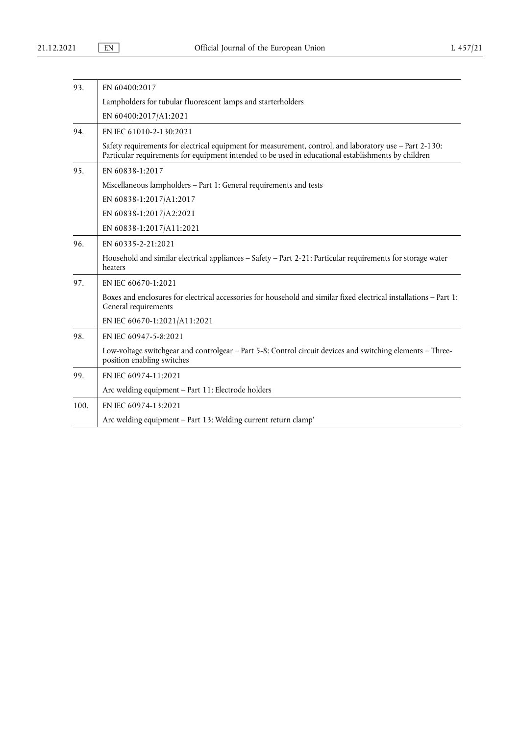| 93.  | EN 60400:2017                                                                                                                                                                                                  |  |
|------|----------------------------------------------------------------------------------------------------------------------------------------------------------------------------------------------------------------|--|
|      | Lampholders for tubular fluorescent lamps and starterholders                                                                                                                                                   |  |
|      | EN 60400:2017/A1:2021                                                                                                                                                                                          |  |
| 94.  | EN IEC 61010-2-130:2021                                                                                                                                                                                        |  |
|      | Safety requirements for electrical equipment for measurement, control, and laboratory use – Part 2-130:<br>Particular requirements for equipment intended to be used in educational establishments by children |  |
| 95.  | EN 60838-1:2017                                                                                                                                                                                                |  |
|      | Miscellaneous lampholders - Part 1: General requirements and tests                                                                                                                                             |  |
|      | EN 60838-1:2017/A1:2017                                                                                                                                                                                        |  |
|      | EN 60838-1:2017/A2:2021                                                                                                                                                                                        |  |
|      | EN 60838-1:2017/A11:2021                                                                                                                                                                                       |  |
| 96.  | EN 60335-2-21:2021                                                                                                                                                                                             |  |
|      | Household and similar electrical appliances - Safety - Part 2-21: Particular requirements for storage water<br>heaters                                                                                         |  |
| 97.  | EN IEC 60670-1:2021                                                                                                                                                                                            |  |
|      | Boxes and enclosures for electrical accessories for household and similar fixed electrical installations - Part 1:<br>General requirements                                                                     |  |
|      | EN IEC 60670-1:2021/A11:2021                                                                                                                                                                                   |  |
| 98.  | EN IEC 60947-5-8:2021                                                                                                                                                                                          |  |
|      | Low-voltage switchgear and controlgear - Part 5-8: Control circuit devices and switching elements - Three-<br>position enabling switches                                                                       |  |
| 99.  | EN IEC 60974-11:2021                                                                                                                                                                                           |  |
|      | Arc welding equipment - Part 11: Electrode holders                                                                                                                                                             |  |
| 100. | EN IEC 60974-13:2021                                                                                                                                                                                           |  |
|      | Arc welding equipment - Part 13: Welding current return clamp'                                                                                                                                                 |  |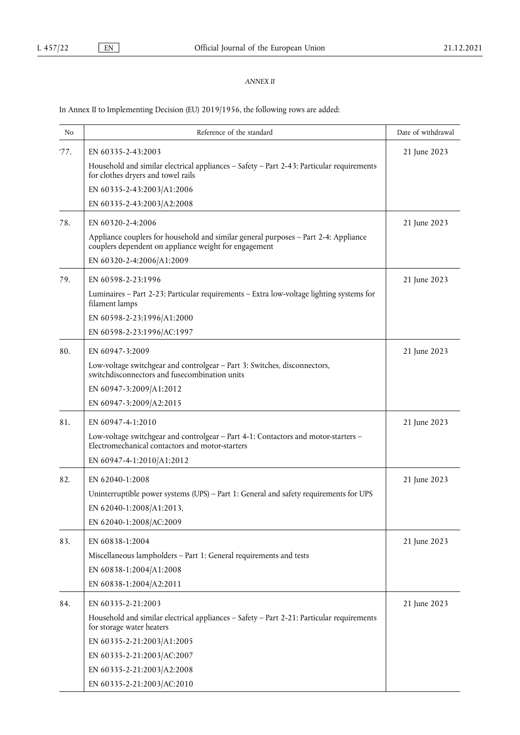# *ANNEX II*

In Annex II to Implementing Decision (EU) 2019/1956, the following rows are added:

| No   | Reference of the standard                                                                                                                    | Date of withdrawal |
|------|----------------------------------------------------------------------------------------------------------------------------------------------|--------------------|
| '77. | EN 60335-2-43:2003                                                                                                                           | 21 June 2023       |
|      | Household and similar electrical appliances - Safety - Part 2-43: Particular requirements<br>for clothes dryers and towel rails              |                    |
|      | EN 60335-2-43:2003/A1:2006                                                                                                                   |                    |
|      | EN 60335-2-43:2003/A2:2008                                                                                                                   |                    |
| 78.  | EN 60320-2-4:2006                                                                                                                            | 21 June 2023       |
|      | Appliance couplers for household and similar general purposes - Part 2-4: Appliance<br>couplers dependent on appliance weight for engagement |                    |
|      | EN 60320-2-4:2006/A1:2009                                                                                                                    |                    |
| 79.  | EN 60598-2-23:1996                                                                                                                           | 21 June 2023       |
|      | Luminaires - Part 2-23: Particular requirements - Extra low-voltage lighting systems for<br>filament lamps                                   |                    |
|      | EN 60598-2-23:1996/A1:2000                                                                                                                   |                    |
|      | EN 60598-2-23:1996/AC:1997                                                                                                                   |                    |
| 80.  | EN 60947-3:2009                                                                                                                              | 21 June 2023       |
|      | Low-voltage switchgear and controlgear - Part 3: Switches, disconnectors,<br>switchdisconnectors and fusecombination units                   |                    |
|      | EN 60947-3:2009/A1:2012                                                                                                                      |                    |
|      | EN 60947-3:2009/A2:2015                                                                                                                      |                    |
| 81.  | EN 60947-4-1:2010                                                                                                                            | 21 June 2023       |
|      | Low-voltage switchgear and controlgear - Part 4-1: Contactors and motor-starters -<br>Electromechanical contactors and motor-starters        |                    |
|      | EN 60947-4-1:2010/A1:2012                                                                                                                    |                    |
| 82.  | EN 62040-1:2008                                                                                                                              | 21 June 2023       |
|      | Uninterruptible power systems (UPS) - Part 1: General and safety requirements for UPS                                                        |                    |
|      | EN 62040-1:2008/A1:2013,                                                                                                                     |                    |
|      | EN 62040-1:2008/AC:2009                                                                                                                      |                    |
| 83.  | EN 60838-1:2004                                                                                                                              | 21 June 2023       |
|      | Miscellaneous lampholders - Part 1: General requirements and tests                                                                           |                    |
|      | EN 60838-1:2004/A1:2008                                                                                                                      |                    |
|      | EN 60838-1:2004/A2:2011                                                                                                                      |                    |
| 84.  | EN 60335-2-21:2003                                                                                                                           | 21 June 2023       |
|      | Household and similar electrical appliances - Safety - Part 2-21: Particular requirements<br>for storage water heaters                       |                    |
|      | EN 60335-2-21:2003/A1:2005                                                                                                                   |                    |
|      | EN 60335-2-21:2003/AC:2007                                                                                                                   |                    |
|      | EN 60335-2-21:2003/A2:2008                                                                                                                   |                    |
|      | EN 60335-2-21:2003/AC:2010                                                                                                                   |                    |